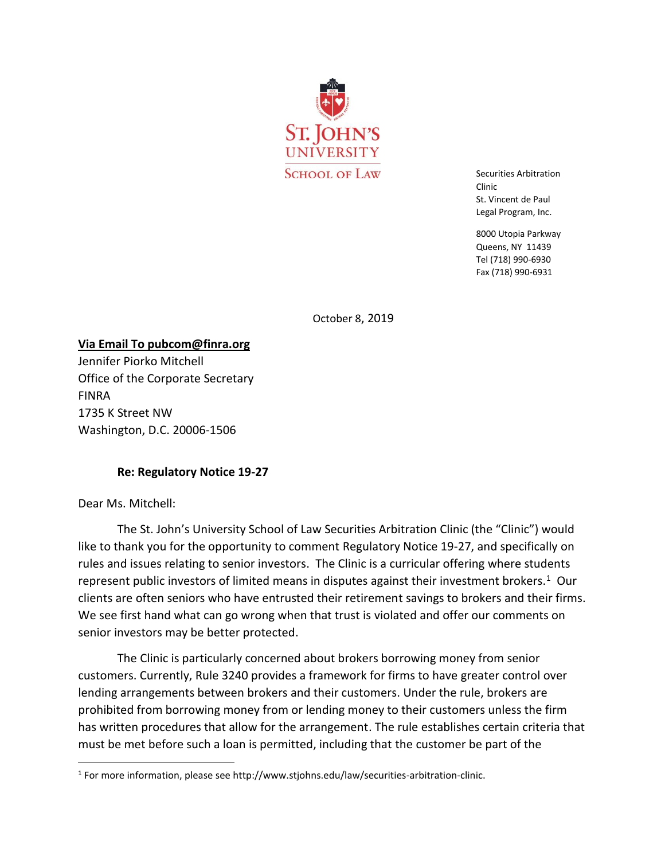

Securities Arbitration Clinic St. Vincent de Paul Legal Program, Inc.

8000 Utopia Parkway Queens, NY 11439 Tel (718) 990-6930 Fax (718) 990-6931

October 8, 2019

**Via Email To pubcom@finra.org** Jennifer Piorko Mitchell Office of the Corporate Secretary FINRA 1735 K Street NW Washington, D.C. 20006-1506

## **Re: Regulatory Notice 19-27**

Dear Ms. Mitchell:

 $\overline{\phantom{a}}$ 

The St. John's University School of Law Securities Arbitration Clinic (the "Clinic") would like to thank you for the opportunity to comment Regulatory Notice 19-27, and specifically on rules and issues relating to senior investors. The Clinic is a curricular offering where students represent public investors of limited means in disputes against their investment brokers.<sup>1</sup> Our clients are often seniors who have entrusted their retirement savings to brokers and their firms. We see first hand what can go wrong when that trust is violated and offer our comments on senior investors may be better protected.

The Clinic is particularly concerned about brokers borrowing money from senior customers. Currently, Rule 3240 provides a framework for firms to have greater control over lending arrangements between brokers and their customers. Under the rule, brokers are prohibited from borrowing money from or lending money to their customers unless the firm has written procedures that allow for the arrangement. The rule establishes certain criteria that must be met before such a loan is permitted, including that the customer be part of the

<sup>&</sup>lt;sup>1</sup> For more information, please see http://www.stjohns.edu/law/securities-arbitration-clinic.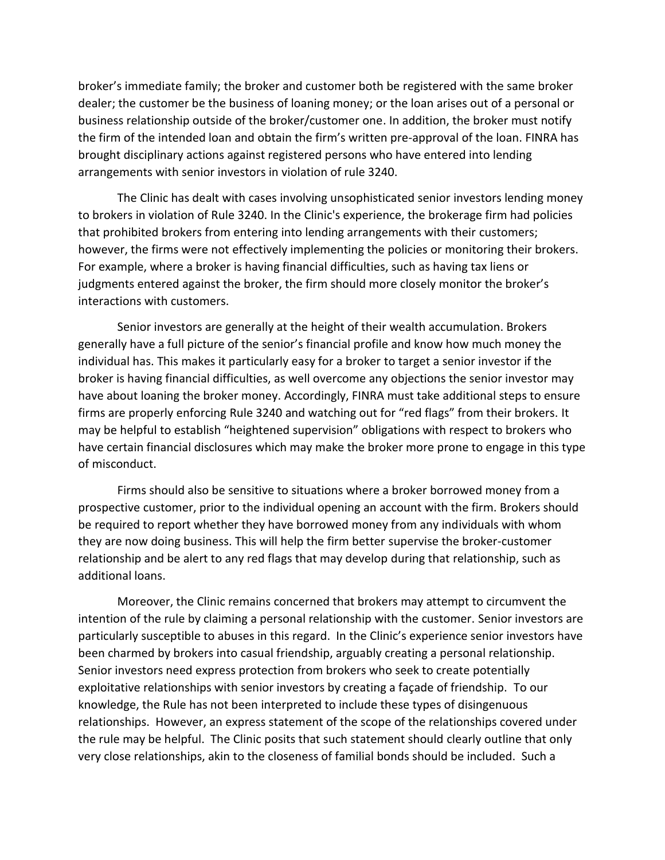broker's immediate family; the broker and customer both be registered with the same broker dealer; the customer be the business of loaning money; or the loan arises out of a personal or business relationship outside of the broker/customer one. In addition, the broker must notify the firm of the intended loan and obtain the firm's written pre-approval of the loan. FINRA has brought disciplinary actions against registered persons who have entered into lending arrangements with senior investors in violation of rule 3240.

The Clinic has dealt with cases involving unsophisticated senior investors lending money to brokers in violation of Rule 3240. In the Clinic's experience, the brokerage firm had policies that prohibited brokers from entering into lending arrangements with their customers; however, the firms were not effectively implementing the policies or monitoring their brokers. For example, where a broker is having financial difficulties, such as having tax liens or judgments entered against the broker, the firm should more closely monitor the broker's interactions with customers.

Senior investors are generally at the height of their wealth accumulation. Brokers generally have a full picture of the senior's financial profile and know how much money the individual has. This makes it particularly easy for a broker to target a senior investor if the broker is having financial difficulties, as well overcome any objections the senior investor may have about loaning the broker money. Accordingly, FINRA must take additional steps to ensure firms are properly enforcing Rule 3240 and watching out for "red flags" from their brokers. It may be helpful to establish "heightened supervision" obligations with respect to brokers who have certain financial disclosures which may make the broker more prone to engage in this type of misconduct.

Firms should also be sensitive to situations where a broker borrowed money from a prospective customer, prior to the individual opening an account with the firm. Brokers should be required to report whether they have borrowed money from any individuals with whom they are now doing business. This will help the firm better supervise the broker-customer relationship and be alert to any red flags that may develop during that relationship, such as additional loans.

Moreover, the Clinic remains concerned that brokers may attempt to circumvent the intention of the rule by claiming a personal relationship with the customer. Senior investors are particularly susceptible to abuses in this regard. In the Clinic's experience senior investors have been charmed by brokers into casual friendship, arguably creating a personal relationship. Senior investors need express protection from brokers who seek to create potentially exploitative relationships with senior investors by creating a façade of friendship. To our knowledge, the Rule has not been interpreted to include these types of disingenuous relationships. However, an express statement of the scope of the relationships covered under the rule may be helpful. The Clinic posits that such statement should clearly outline that only very close relationships, akin to the closeness of familial bonds should be included. Such a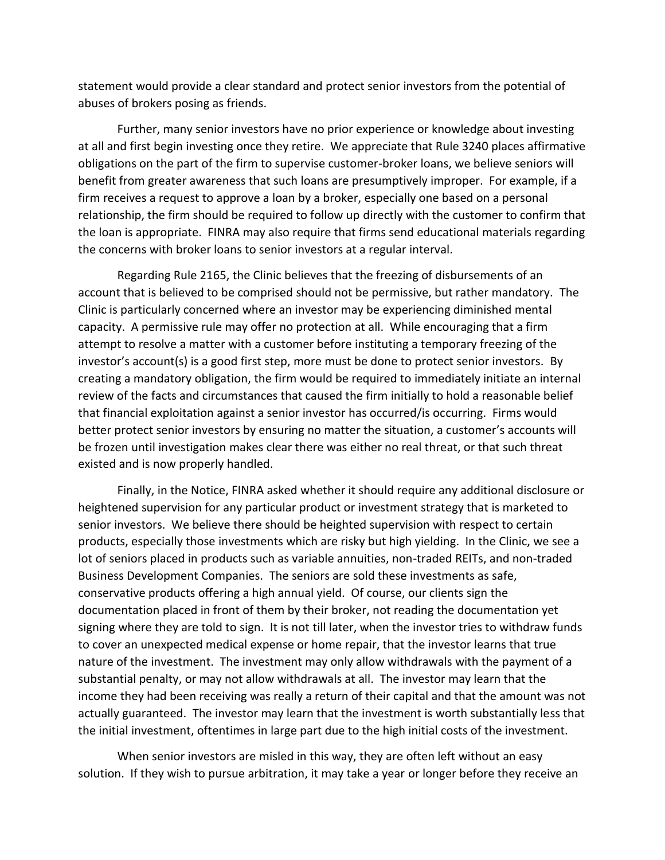statement would provide a clear standard and protect senior investors from the potential of abuses of brokers posing as friends.

Further, many senior investors have no prior experience or knowledge about investing at all and first begin investing once they retire. We appreciate that Rule 3240 places affirmative obligations on the part of the firm to supervise customer-broker loans, we believe seniors will benefit from greater awareness that such loans are presumptively improper. For example, if a firm receives a request to approve a loan by a broker, especially one based on a personal relationship, the firm should be required to follow up directly with the customer to confirm that the loan is appropriate. FINRA may also require that firms send educational materials regarding the concerns with broker loans to senior investors at a regular interval.

Regarding Rule 2165, the Clinic believes that the freezing of disbursements of an account that is believed to be comprised should not be permissive, but rather mandatory. The Clinic is particularly concerned where an investor may be experiencing diminished mental capacity. A permissive rule may offer no protection at all. While encouraging that a firm attempt to resolve a matter with a customer before instituting a temporary freezing of the investor's account(s) is a good first step, more must be done to protect senior investors. By creating a mandatory obligation, the firm would be required to immediately initiate an internal review of the facts and circumstances that caused the firm initially to hold a reasonable belief that financial exploitation against a senior investor has occurred/is occurring. Firms would better protect senior investors by ensuring no matter the situation, a customer's accounts will be frozen until investigation makes clear there was either no real threat, or that such threat existed and is now properly handled.

Finally, in the Notice, FINRA asked whether it should require any additional disclosure or heightened supervision for any particular product or investment strategy that is marketed to senior investors. We believe there should be heighted supervision with respect to certain products, especially those investments which are risky but high yielding. In the Clinic, we see a lot of seniors placed in products such as variable annuities, non-traded REITs, and non-traded Business Development Companies. The seniors are sold these investments as safe, conservative products offering a high annual yield. Of course, our clients sign the documentation placed in front of them by their broker, not reading the documentation yet signing where they are told to sign. It is not till later, when the investor tries to withdraw funds to cover an unexpected medical expense or home repair, that the investor learns that true nature of the investment. The investment may only allow withdrawals with the payment of a substantial penalty, or may not allow withdrawals at all. The investor may learn that the income they had been receiving was really a return of their capital and that the amount was not actually guaranteed. The investor may learn that the investment is worth substantially less that the initial investment, oftentimes in large part due to the high initial costs of the investment.

When senior investors are misled in this way, they are often left without an easy solution. If they wish to pursue arbitration, it may take a year or longer before they receive an